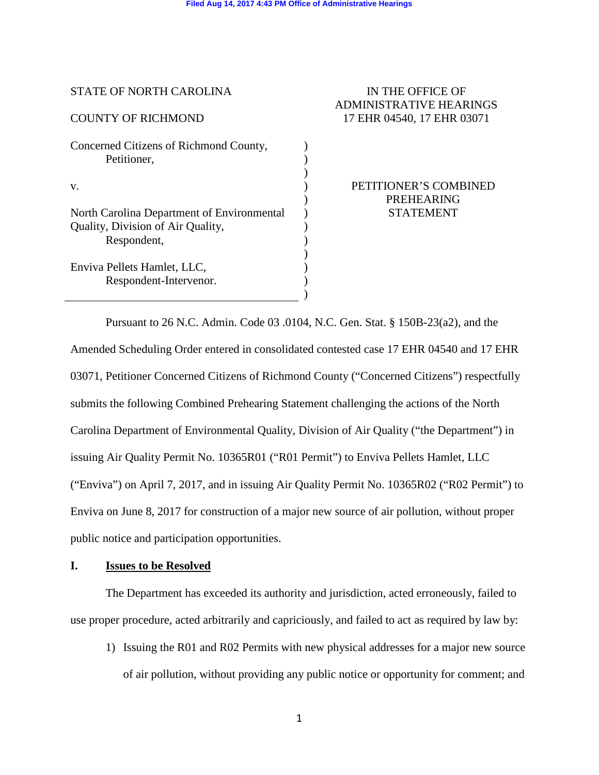)  $\lambda$ ) ) ) ) ) ) ) ) ) )

| <b>STATE OF NORTH CAROLINA</b> |  |
|--------------------------------|--|
|--------------------------------|--|

## COUNTY OF RICHMOND

v.

Concerned Citizens of Richmond County, Petitioner,

North Carolina Department of Environmental Quality, Division of Air Quality, Respondent,

Enviva Pellets Hamlet, LLC, Respondent-Intervenor.

# IN THE OFFICE OF ADMINISTRATIVE HEARINGS 17 EHR 04540, 17 EHR 03071

PETITIONER'S COMBINED PREHEARING STATEMENT

Pursuant to 26 N.C. Admin. Code 03 .0104, N.C. Gen. Stat. § 150B-23(a2), and the Amended Scheduling Order entered in consolidated contested case 17 EHR 04540 and 17 EHR 03071, Petitioner Concerned Citizens of Richmond County ("Concerned Citizens") respectfully submits the following Combined Prehearing Statement challenging the actions of the North Carolina Department of Environmental Quality, Division of Air Quality ("the Department") in issuing Air Quality Permit No. 10365R01 ("R01 Permit") to Enviva Pellets Hamlet, LLC ("Enviva") on April 7, 2017, and in issuing Air Quality Permit No. 10365R02 ("R02 Permit") to Enviva on June 8, 2017 for construction of a major new source of air pollution, without proper public notice and participation opportunities.

## **I. Issues to be Resolved**

The Department has exceeded its authority and jurisdiction, acted erroneously, failed to use proper procedure, acted arbitrarily and capriciously, and failed to act as required by law by:

1) Issuing the R01 and R02 Permits with new physical addresses for a major new source of air pollution, without providing any public notice or opportunity for comment; and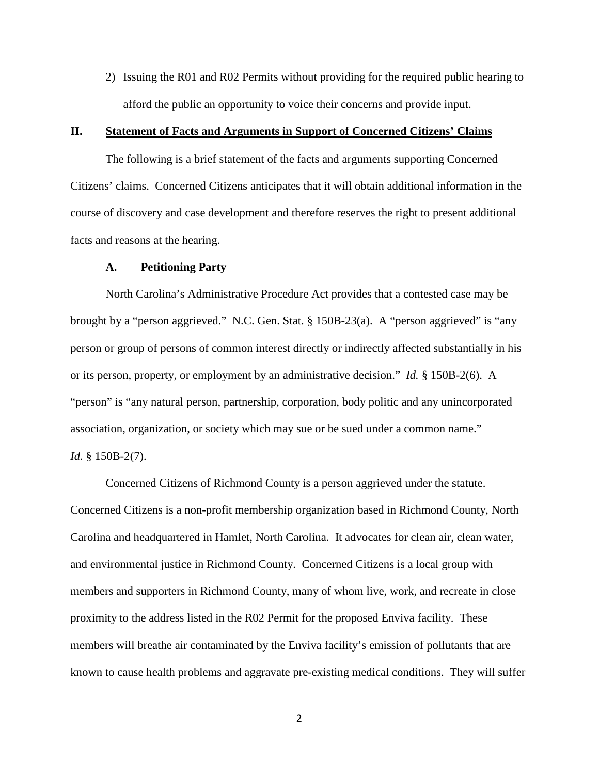2) Issuing the R01 and R02 Permits without providing for the required public hearing to afford the public an opportunity to voice their concerns and provide input.

## **II. Statement of Facts and Arguments in Support of Concerned Citizens' Claims**

The following is a brief statement of the facts and arguments supporting Concerned Citizens' claims. Concerned Citizens anticipates that it will obtain additional information in the course of discovery and case development and therefore reserves the right to present additional facts and reasons at the hearing.

#### **A. Petitioning Party**

North Carolina's Administrative Procedure Act provides that a contested case may be brought by a "person aggrieved." N.C. Gen. Stat. § 150B-23(a). A "person aggrieved" is "any person or group of persons of common interest directly or indirectly affected substantially in his or its person, property, or employment by an administrative decision." *Id.* § 150B-2(6). A "person" is "any natural person, partnership, corporation, body politic and any unincorporated association, organization, or society which may sue or be sued under a common name." *Id.* § 150B-2(7).

Concerned Citizens of Richmond County is a person aggrieved under the statute. Concerned Citizens is a non-profit membership organization based in Richmond County, North Carolina and headquartered in Hamlet, North Carolina. It advocates for clean air, clean water, and environmental justice in Richmond County. Concerned Citizens is a local group with members and supporters in Richmond County, many of whom live, work, and recreate in close proximity to the address listed in the R02 Permit for the proposed Enviva facility. These members will breathe air contaminated by the Enviva facility's emission of pollutants that are known to cause health problems and aggravate pre-existing medical conditions. They will suffer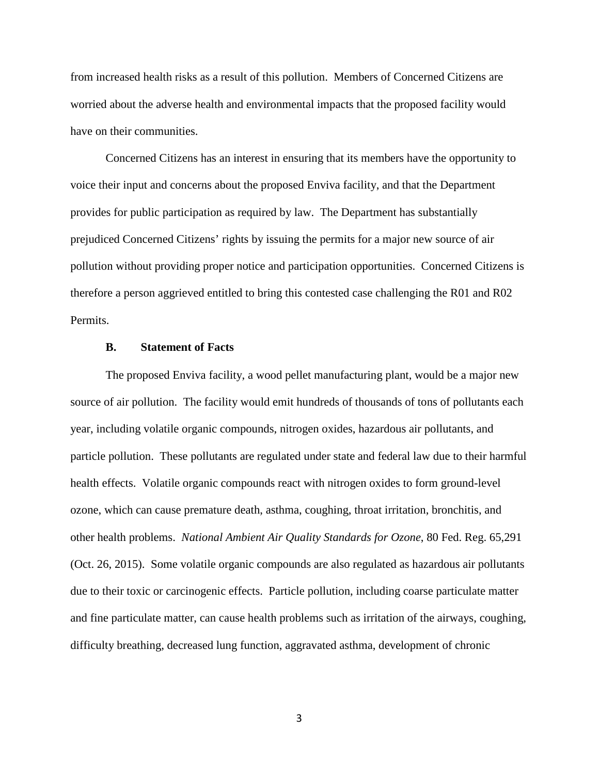from increased health risks as a result of this pollution. Members of Concerned Citizens are worried about the adverse health and environmental impacts that the proposed facility would have on their communities.

Concerned Citizens has an interest in ensuring that its members have the opportunity to voice their input and concerns about the proposed Enviva facility, and that the Department provides for public participation as required by law. The Department has substantially prejudiced Concerned Citizens' rights by issuing the permits for a major new source of air pollution without providing proper notice and participation opportunities. Concerned Citizens is therefore a person aggrieved entitled to bring this contested case challenging the R01 and R02 Permits.

#### **B. Statement of Facts**

The proposed Enviva facility, a wood pellet manufacturing plant, would be a major new source of air pollution. The facility would emit hundreds of thousands of tons of pollutants each year, including volatile organic compounds, nitrogen oxides, hazardous air pollutants, and particle pollution. These pollutants are regulated under state and federal law due to their harmful health effects. Volatile organic compounds react with nitrogen oxides to form ground-level ozone, which can cause premature death, asthma, coughing, throat irritation, bronchitis, and other health problems. *National Ambient Air Quality Standards for Ozone*, 80 Fed. Reg. 65,291 (Oct. 26, 2015). Some volatile organic compounds are also regulated as hazardous air pollutants due to their toxic or carcinogenic effects. Particle pollution, including coarse particulate matter and fine particulate matter, can cause health problems such as irritation of the airways, coughing, difficulty breathing, decreased lung function, aggravated asthma, development of chronic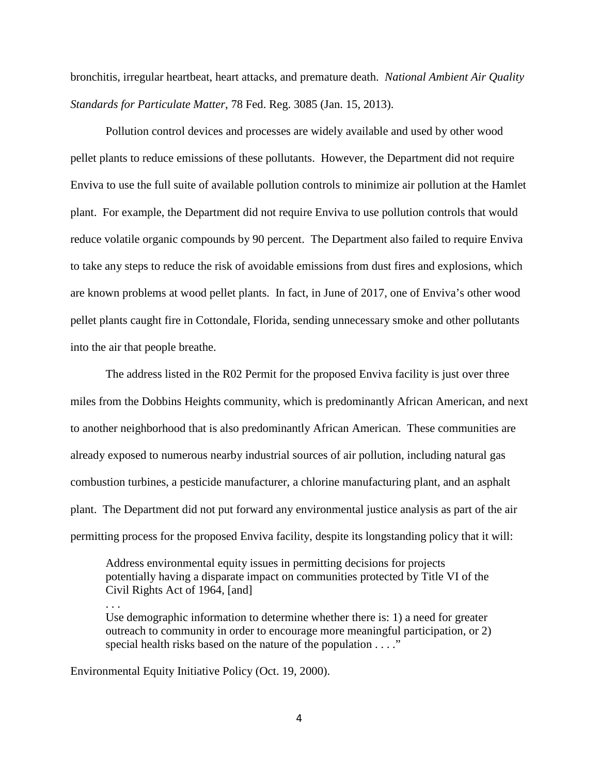bronchitis, irregular heartbeat, heart attacks, and premature death. *National Ambient Air Quality Standards for Particulate Matter*, 78 Fed. Reg. 3085 (Jan. 15, 2013).

Pollution control devices and processes are widely available and used by other wood pellet plants to reduce emissions of these pollutants. However, the Department did not require Enviva to use the full suite of available pollution controls to minimize air pollution at the Hamlet plant. For example, the Department did not require Enviva to use pollution controls that would reduce volatile organic compounds by 90 percent. The Department also failed to require Enviva to take any steps to reduce the risk of avoidable emissions from dust fires and explosions, which are known problems at wood pellet plants. In fact, in June of 2017, one of Enviva's other wood pellet plants caught fire in Cottondale, Florida, sending unnecessary smoke and other pollutants into the air that people breathe.

The address listed in the R02 Permit for the proposed Enviva facility is just over three miles from the Dobbins Heights community, which is predominantly African American, and next to another neighborhood that is also predominantly African American. These communities are already exposed to numerous nearby industrial sources of air pollution, including natural gas combustion turbines, a pesticide manufacturer, a chlorine manufacturing plant, and an asphalt plant. The Department did not put forward any environmental justice analysis as part of the air permitting process for the proposed Enviva facility, despite its longstanding policy that it will:

Address environmental equity issues in permitting decisions for projects potentially having a disparate impact on communities protected by Title VI of the Civil Rights Act of 1964, [and]

Use demographic information to determine whether there is: 1) a need for greater outreach to community in order to encourage more meaningful participation, or 2) special health risks based on the nature of the population . . . ."

Environmental Equity Initiative Policy (Oct. 19, 2000).

. . .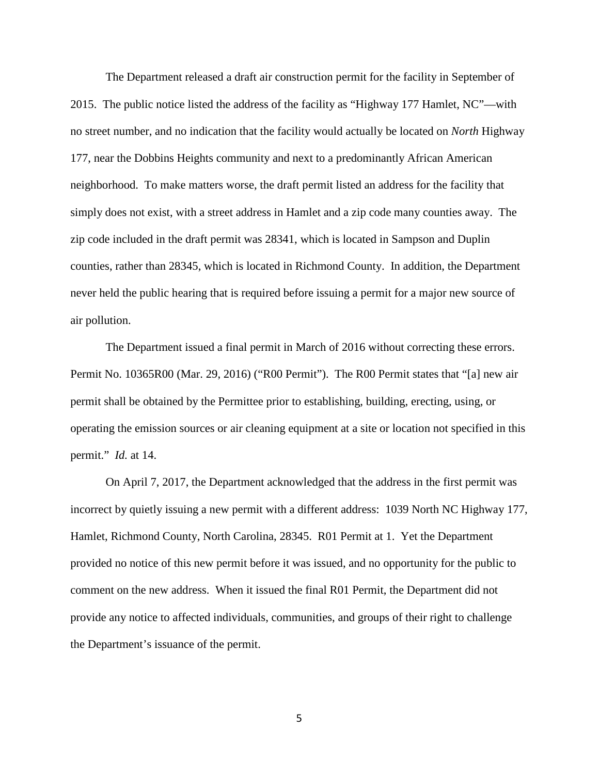The Department released a draft air construction permit for the facility in September of 2015. The public notice listed the address of the facility as "Highway 177 Hamlet, NC"—with no street number, and no indication that the facility would actually be located on *North* Highway 177, near the Dobbins Heights community and next to a predominantly African American neighborhood. To make matters worse, the draft permit listed an address for the facility that simply does not exist, with a street address in Hamlet and a zip code many counties away. The zip code included in the draft permit was 28341, which is located in Sampson and Duplin counties, rather than 28345, which is located in Richmond County. In addition, the Department never held the public hearing that is required before issuing a permit for a major new source of air pollution.

The Department issued a final permit in March of 2016 without correcting these errors. Permit No. 10365R00 (Mar. 29, 2016) ("R00 Permit"). The R00 Permit states that "[a] new air permit shall be obtained by the Permittee prior to establishing, building, erecting, using, or operating the emission sources or air cleaning equipment at a site or location not specified in this permit." *Id.* at 14.

On April 7, 2017, the Department acknowledged that the address in the first permit was incorrect by quietly issuing a new permit with a different address: 1039 North NC Highway 177, Hamlet, Richmond County, North Carolina, 28345. R01 Permit at 1. Yet the Department provided no notice of this new permit before it was issued, and no opportunity for the public to comment on the new address. When it issued the final R01 Permit, the Department did not provide any notice to affected individuals, communities, and groups of their right to challenge the Department's issuance of the permit.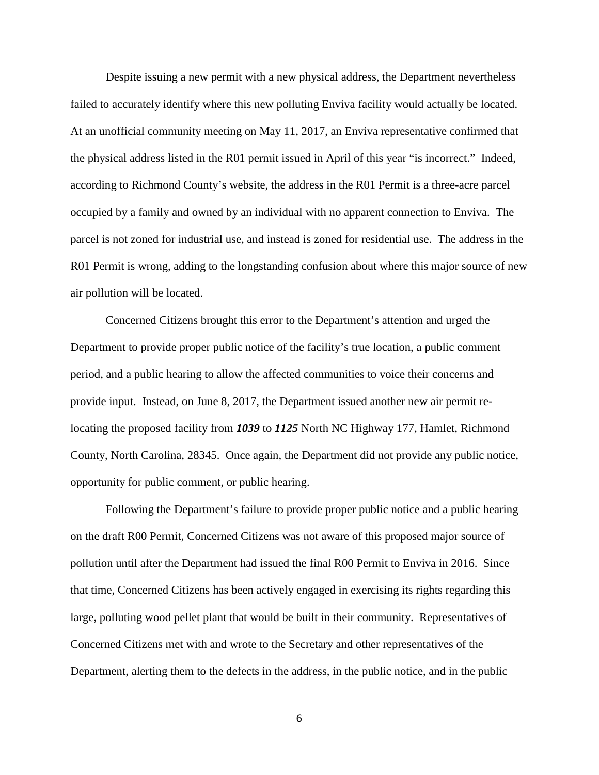Despite issuing a new permit with a new physical address, the Department nevertheless failed to accurately identify where this new polluting Enviva facility would actually be located. At an unofficial community meeting on May 11, 2017, an Enviva representative confirmed that the physical address listed in the R01 permit issued in April of this year "is incorrect." Indeed, according to Richmond County's website, the address in the R01 Permit is a three-acre parcel occupied by a family and owned by an individual with no apparent connection to Enviva. The parcel is not zoned for industrial use, and instead is zoned for residential use. The address in the R01 Permit is wrong, adding to the longstanding confusion about where this major source of new air pollution will be located.

Concerned Citizens brought this error to the Department's attention and urged the Department to provide proper public notice of the facility's true location, a public comment period, and a public hearing to allow the affected communities to voice their concerns and provide input. Instead, on June 8, 2017, the Department issued another new air permit relocating the proposed facility from *1039* to *1125* North NC Highway 177, Hamlet, Richmond County, North Carolina, 28345. Once again, the Department did not provide any public notice, opportunity for public comment, or public hearing.

Following the Department's failure to provide proper public notice and a public hearing on the draft R00 Permit, Concerned Citizens was not aware of this proposed major source of pollution until after the Department had issued the final R00 Permit to Enviva in 2016. Since that time, Concerned Citizens has been actively engaged in exercising its rights regarding this large, polluting wood pellet plant that would be built in their community. Representatives of Concerned Citizens met with and wrote to the Secretary and other representatives of the Department, alerting them to the defects in the address, in the public notice, and in the public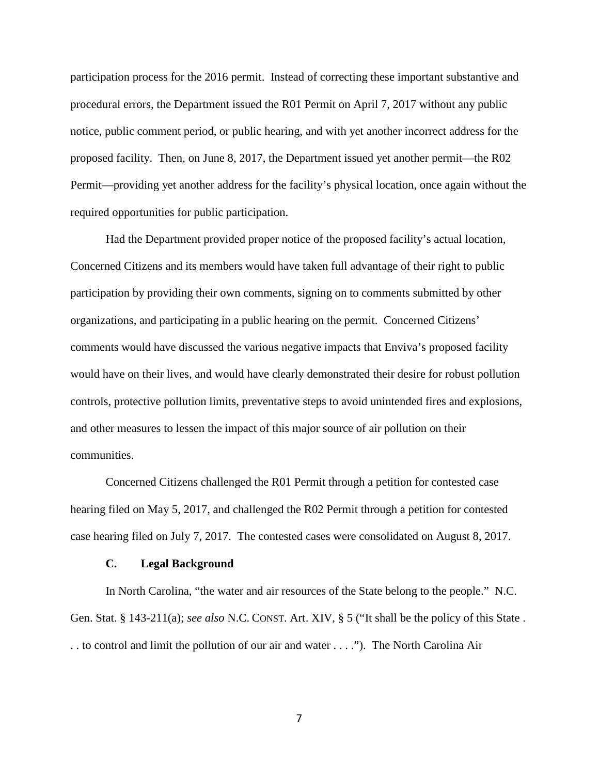participation process for the 2016 permit. Instead of correcting these important substantive and procedural errors, the Department issued the R01 Permit on April 7, 2017 without any public notice, public comment period, or public hearing, and with yet another incorrect address for the proposed facility. Then, on June 8, 2017, the Department issued yet another permit—the R02 Permit—providing yet another address for the facility's physical location, once again without the required opportunities for public participation.

Had the Department provided proper notice of the proposed facility's actual location, Concerned Citizens and its members would have taken full advantage of their right to public participation by providing their own comments, signing on to comments submitted by other organizations, and participating in a public hearing on the permit. Concerned Citizens' comments would have discussed the various negative impacts that Enviva's proposed facility would have on their lives, and would have clearly demonstrated their desire for robust pollution controls, protective pollution limits, preventative steps to avoid unintended fires and explosions, and other measures to lessen the impact of this major source of air pollution on their communities.

Concerned Citizens challenged the R01 Permit through a petition for contested case hearing filed on May 5, 2017, and challenged the R02 Permit through a petition for contested case hearing filed on July 7, 2017. The contested cases were consolidated on August 8, 2017.

#### **C. Legal Background**

In North Carolina, "the water and air resources of the State belong to the people." N.C. Gen. Stat. § 143-211(a); *see also* N.C. CONST. Art. XIV, § 5 ("It shall be the policy of this State . . . to control and limit the pollution of our air and water . . . ."). The North Carolina Air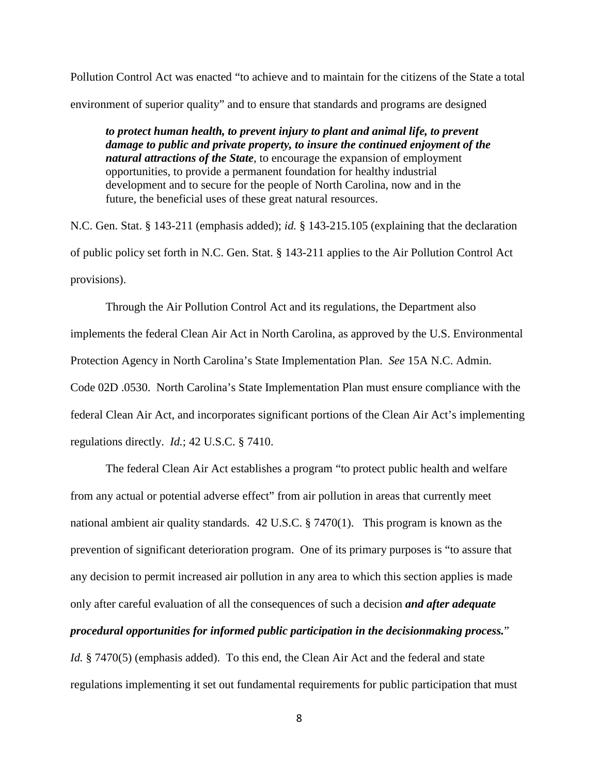Pollution Control Act was enacted "to achieve and to maintain for the citizens of the State a total environment of superior quality" and to ensure that standards and programs are designed

*to protect human health, to prevent injury to plant and animal life, to prevent damage to public and private property, to insure the continued enjoyment of the natural attractions of the State*, to encourage the expansion of employment opportunities, to provide a permanent foundation for healthy industrial development and to secure for the people of North Carolina, now and in the future, the beneficial uses of these great natural resources.

N.C. Gen. Stat. § 143-211 (emphasis added); *id.* § 143-215.105 (explaining that the declaration of public policy set forth in N.C. Gen. Stat. § 143-211 applies to the Air Pollution Control Act provisions).

Through the Air Pollution Control Act and its regulations, the Department also implements the federal Clean Air Act in North Carolina, as approved by the U.S. Environmental Protection Agency in North Carolina's State Implementation Plan. *See* 15A N.C. Admin. Code 02D .0530. North Carolina's State Implementation Plan must ensure compliance with the federal Clean Air Act, and incorporates significant portions of the Clean Air Act's implementing regulations directly. *Id.*; 42 U.S.C. § 7410.

The federal Clean Air Act establishes a program "to protect public health and welfare from any actual or potential adverse effect" from air pollution in areas that currently meet national ambient air quality standards. 42 U.S.C. § 7470(1). This program is known as the prevention of significant deterioration program. One of its primary purposes is "to assure that any decision to permit increased air pollution in any area to which this section applies is made only after careful evaluation of all the consequences of such a decision *and after adequate procedural opportunities for informed public participation in the decisionmaking process.*"

*Id.* § 7470(5) (emphasis added). To this end, the Clean Air Act and the federal and state regulations implementing it set out fundamental requirements for public participation that must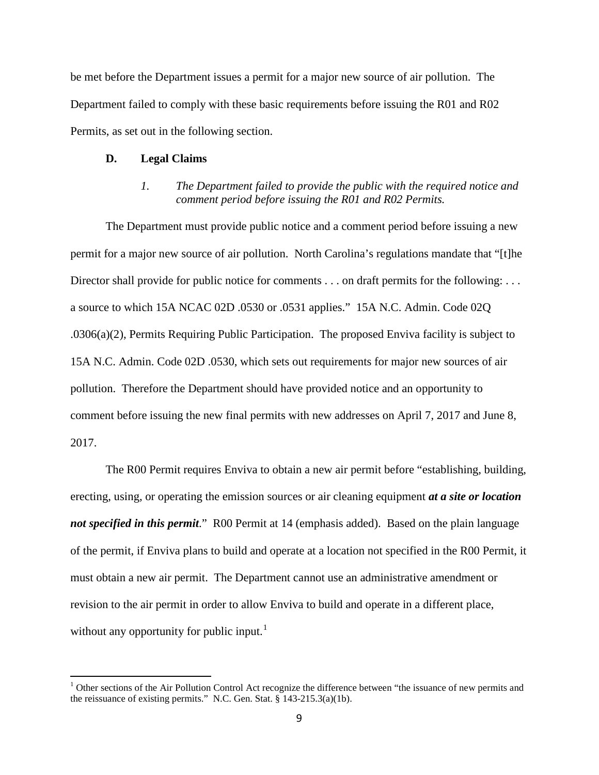be met before the Department issues a permit for a major new source of air pollution. The Department failed to comply with these basic requirements before issuing the R01 and R02 Permits, as set out in the following section.

#### **D. Legal Claims**

*1. The Department failed to provide the public with the required notice and comment period before issuing the R01 and R02 Permits.*

The Department must provide public notice and a comment period before issuing a new permit for a major new source of air pollution. North Carolina's regulations mandate that "[t]he Director shall provide for public notice for comments . . . on draft permits for the following: . . . a source to which 15A NCAC 02D .0530 or .0531 applies." 15A N.C. Admin. Code 02Q .0306(a)(2), Permits Requiring Public Participation. The proposed Enviva facility is subject to 15A N.C. Admin. Code 02D .0530, which sets out requirements for major new sources of air pollution. Therefore the Department should have provided notice and an opportunity to comment before issuing the new final permits with new addresses on April 7, 2017 and June 8, 2017.

The R00 Permit requires Enviva to obtain a new air permit before "establishing, building, erecting, using, or operating the emission sources or air cleaning equipment *at a site or location not specified in this permit.*" R00 Permit at 14 (emphasis added). Based on the plain language of the permit, if Enviva plans to build and operate at a location not specified in the R00 Permit, it must obtain a new air permit. The Department cannot use an administrative amendment or revision to the air permit in order to allow Enviva to build and operate in a different place, without any opportunity for public input.<sup>[1](#page-8-0)</sup>

<span id="page-8-0"></span> $<sup>1</sup>$  Other sections of the Air Pollution Control Act recognize the difference between "the issuance of new permits and</sup> the reissuance of existing permits." N.C. Gen. Stat. § 143-215.3(a)(1b).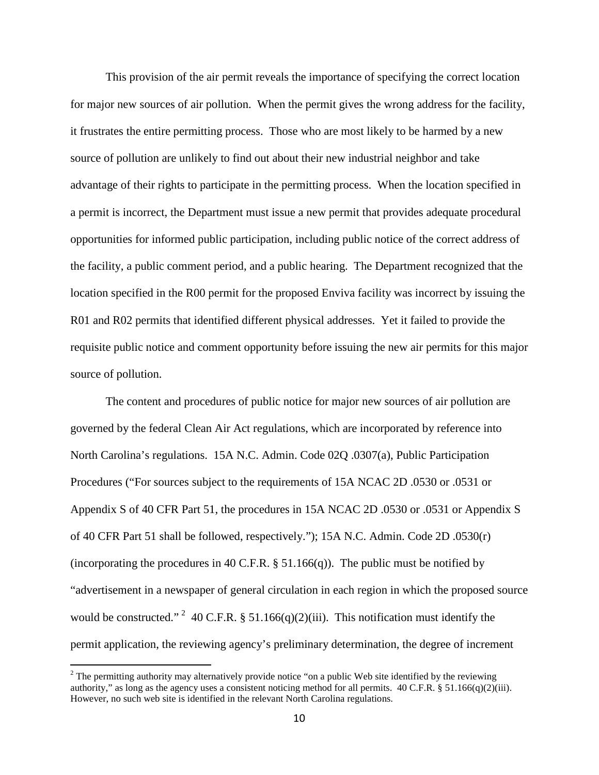This provision of the air permit reveals the importance of specifying the correct location for major new sources of air pollution. When the permit gives the wrong address for the facility, it frustrates the entire permitting process. Those who are most likely to be harmed by a new source of pollution are unlikely to find out about their new industrial neighbor and take advantage of their rights to participate in the permitting process. When the location specified in a permit is incorrect, the Department must issue a new permit that provides adequate procedural opportunities for informed public participation, including public notice of the correct address of the facility, a public comment period, and a public hearing. The Department recognized that the location specified in the R00 permit for the proposed Enviva facility was incorrect by issuing the R01 and R02 permits that identified different physical addresses. Yet it failed to provide the requisite public notice and comment opportunity before issuing the new air permits for this major source of pollution.

The content and procedures of public notice for major new sources of air pollution are governed by the federal Clean Air Act regulations, which are incorporated by reference into North Carolina's regulations. 15A N.C. Admin. Code 02Q .0307(a), Public Participation Procedures ("For sources subject to the requirements of 15A NCAC 2D .0530 or .0531 or Appendix S of 40 CFR Part 51, the procedures in 15A NCAC 2D .0530 or .0531 or Appendix S of 40 CFR Part 51 shall be followed, respectively."); 15A N.C. Admin. Code 2D .0530(r) (incorporating the procedures in 40 C.F.R.  $\S$  51.166(q)). The public must be notified by "advertisement in a newspaper of general circulation in each region in which the proposed source would be constructed." <sup>[2](#page-9-0)</sup> 40 C.F.R. § 51.166(q)(2)(iii). This notification must identify the permit application, the reviewing agency's preliminary determination, the degree of increment

<span id="page-9-0"></span><sup>&</sup>lt;sup>2</sup> The permitting authority may alternatively provide notice "on a public Web site identified by the reviewing authority," as long as the agency uses a consistent noticing method for all permits.  $40 \text{ C.F.R.}$  §  $51.166(q)(2)(iii)$ . However, no such web site is identified in the relevant North Carolina regulations.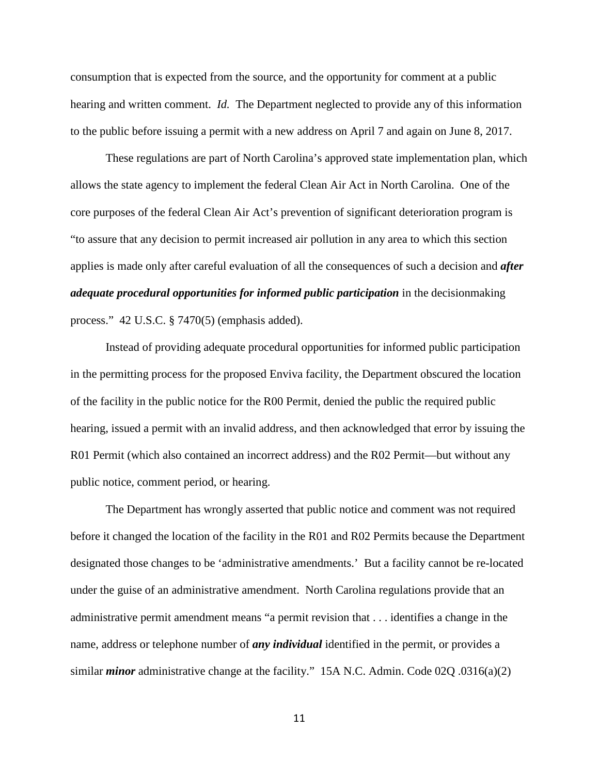consumption that is expected from the source, and the opportunity for comment at a public hearing and written comment. *Id.* The Department neglected to provide any of this information to the public before issuing a permit with a new address on April 7 and again on June 8, 2017.

These regulations are part of North Carolina's approved state implementation plan, which allows the state agency to implement the federal Clean Air Act in North Carolina. One of the core purposes of the federal Clean Air Act's prevention of significant deterioration program is "to assure that any decision to permit increased air pollution in any area to which this section applies is made only after careful evaluation of all the consequences of such a decision and *after adequate procedural opportunities for informed public participation* in the decisionmaking process." 42 U.S.C. § 7470(5) (emphasis added).

Instead of providing adequate procedural opportunities for informed public participation in the permitting process for the proposed Enviva facility, the Department obscured the location of the facility in the public notice for the R00 Permit, denied the public the required public hearing, issued a permit with an invalid address, and then acknowledged that error by issuing the R01 Permit (which also contained an incorrect address) and the R02 Permit—but without any public notice, comment period, or hearing.

The Department has wrongly asserted that public notice and comment was not required before it changed the location of the facility in the R01 and R02 Permits because the Department designated those changes to be 'administrative amendments.' But a facility cannot be re-located under the guise of an administrative amendment. North Carolina regulations provide that an administrative permit amendment means "a permit revision that . . . identifies a change in the name, address or telephone number of *any individual* identified in the permit, or provides a similar *minor* administrative change at the facility." 15A N.C. Admin. Code 02Q .0316(a)(2)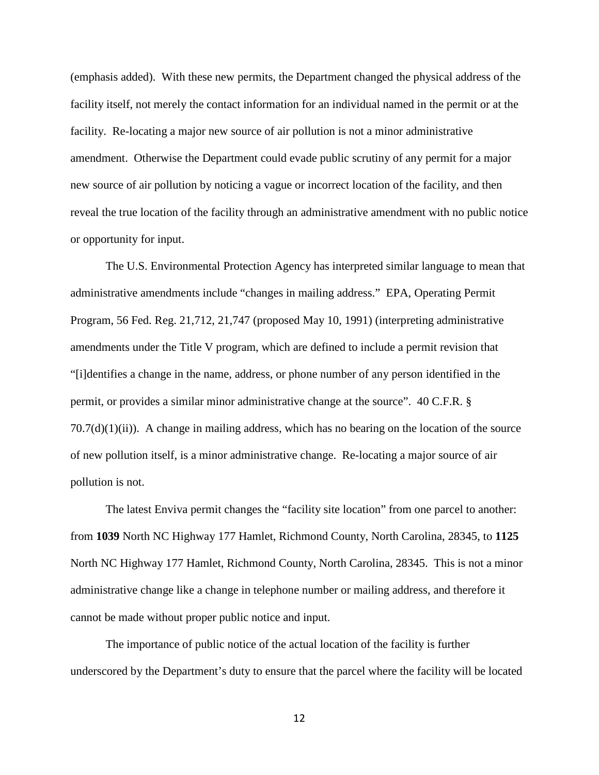(emphasis added). With these new permits, the Department changed the physical address of the facility itself, not merely the contact information for an individual named in the permit or at the facility. Re-locating a major new source of air pollution is not a minor administrative amendment. Otherwise the Department could evade public scrutiny of any permit for a major new source of air pollution by noticing a vague or incorrect location of the facility, and then reveal the true location of the facility through an administrative amendment with no public notice or opportunity for input.

The U.S. Environmental Protection Agency has interpreted similar language to mean that administrative amendments include "changes in mailing address." EPA, Operating Permit Program, 56 Fed. Reg. 21,712, 21,747 (proposed May 10, 1991) (interpreting administrative amendments under the Title V program, which are defined to include a permit revision that "[i]dentifies a change in the name, address, or phone number of any person identified in the permit, or provides a similar minor administrative change at the source". 40 C.F.R. §  $70.7(d)(1)(ii)$ ). A change in mailing address, which has no bearing on the location of the source of new pollution itself, is a minor administrative change. Re-locating a major source of air pollution is not.

The latest Enviva permit changes the "facility site location" from one parcel to another: from **1039** North NC Highway 177 Hamlet, Richmond County, North Carolina, 28345, to **1125** North NC Highway 177 Hamlet, Richmond County, North Carolina, 28345. This is not a minor administrative change like a change in telephone number or mailing address, and therefore it cannot be made without proper public notice and input.

The importance of public notice of the actual location of the facility is further underscored by the Department's duty to ensure that the parcel where the facility will be located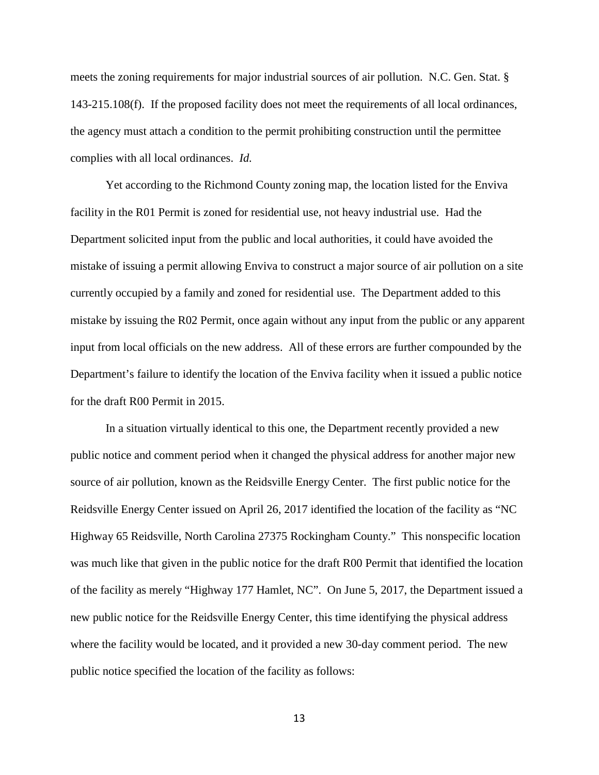meets the zoning requirements for major industrial sources of air pollution. N.C. Gen. Stat. § 143-215.108(f). If the proposed facility does not meet the requirements of all local ordinances, the agency must attach a condition to the permit prohibiting construction until the permittee complies with all local ordinances. *Id.* 

Yet according to the Richmond County zoning map, the location listed for the Enviva facility in the R01 Permit is zoned for residential use, not heavy industrial use. Had the Department solicited input from the public and local authorities, it could have avoided the mistake of issuing a permit allowing Enviva to construct a major source of air pollution on a site currently occupied by a family and zoned for residential use. The Department added to this mistake by issuing the R02 Permit, once again without any input from the public or any apparent input from local officials on the new address. All of these errors are further compounded by the Department's failure to identify the location of the Enviva facility when it issued a public notice for the draft R00 Permit in 2015.

In a situation virtually identical to this one, the Department recently provided a new public notice and comment period when it changed the physical address for another major new source of air pollution, known as the Reidsville Energy Center. The first public notice for the Reidsville Energy Center issued on April 26, 2017 identified the location of the facility as "NC Highway 65 Reidsville, North Carolina 27375 Rockingham County." This nonspecific location was much like that given in the public notice for the draft R00 Permit that identified the location of the facility as merely "Highway 177 Hamlet, NC". On June 5, 2017, the Department issued a new public notice for the Reidsville Energy Center, this time identifying the physical address where the facility would be located, and it provided a new 30-day comment period. The new public notice specified the location of the facility as follows: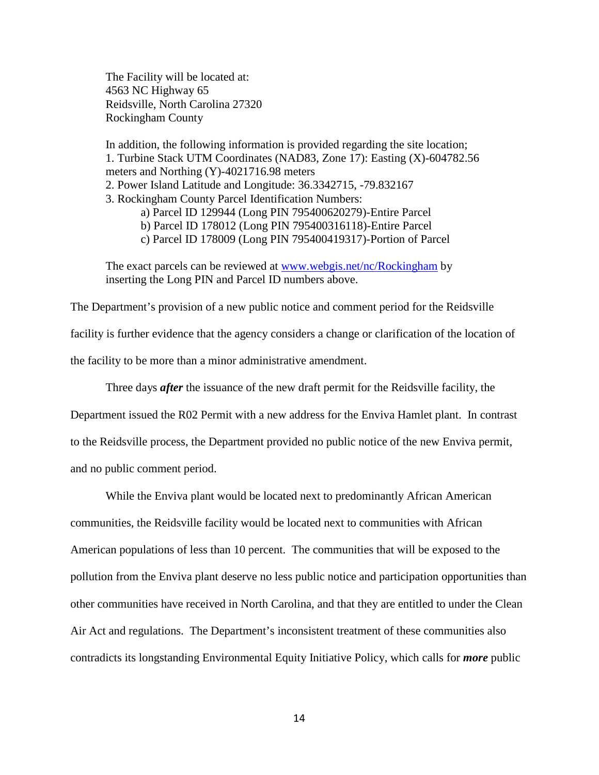The Facility will be located at: 4563 NC Highway 65 Reidsville, North Carolina 27320 Rockingham County

In addition, the following information is provided regarding the site location; 1. Turbine Stack UTM Coordinates (NAD83, Zone 17): Easting (X)-604782.56 meters and Northing (Y)-4021716.98 meters 2. Power Island Latitude and Longitude: 36.3342715, -79.832167 3. Rockingham County Parcel Identification Numbers: a) Parcel ID 129944 (Long PIN 795400620279)-Entire Parcel b) Parcel ID 178012 (Long PIN 795400316118)-Entire Parcel c) Parcel ID 178009 (Long PIN 795400419317)-Portion of Parcel

The exact parcels can be reviewed at <u>www.webgis.net/nc/Rockingham</u> by inserting the Long PIN and Parcel ID numbers above.

The Department's provision of a new public notice and comment period for the Reidsville facility is further evidence that the agency considers a change or clarification of the location of the facility to be more than a minor administrative amendment.

Three days *after* the issuance of the new draft permit for the Reidsville facility, the

Department issued the R02 Permit with a new address for the Enviva Hamlet plant. In contrast to the Reidsville process, the Department provided no public notice of the new Enviva permit, and no public comment period.

While the Enviva plant would be located next to predominantly African American communities, the Reidsville facility would be located next to communities with African American populations of less than 10 percent. The communities that will be exposed to the pollution from the Enviva plant deserve no less public notice and participation opportunities than other communities have received in North Carolina, and that they are entitled to under the Clean Air Act and regulations. The Department's inconsistent treatment of these communities also contradicts its longstanding Environmental Equity Initiative Policy, which calls for *more* public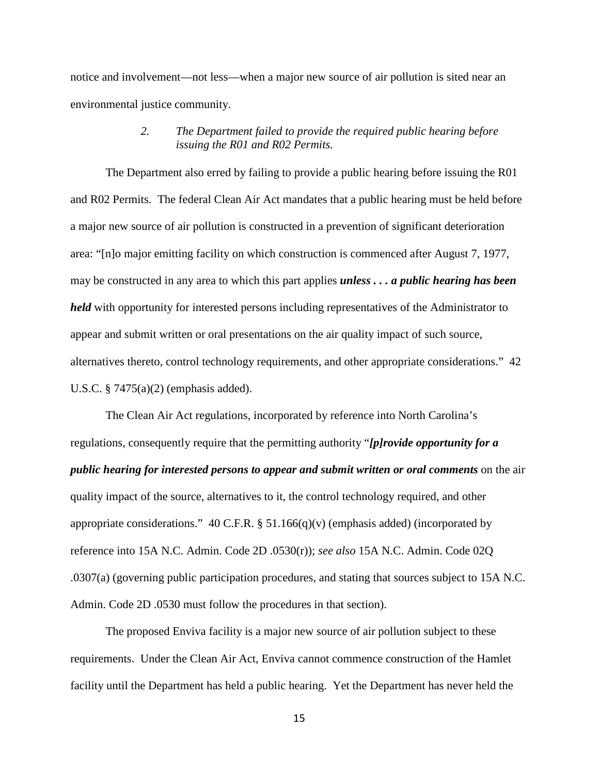notice and involvement—not less—when a major new source of air pollution is sited near an environmental justice community.

## *2. The Department failed to provide the required public hearing before issuing the R01 and R02 Permits.*

The Department also erred by failing to provide a public hearing before issuing the R01 and R02 Permits. The federal Clean Air Act mandates that a public hearing must be held before a major new source of air pollution is constructed in a prevention of significant deterioration area: "[n]o major emitting facility on which construction is commenced after August 7, 1977, may be constructed in any area to which this part applies *unless . . . a public hearing has been held* with opportunity for interested persons including representatives of the Administrator to appear and submit written or oral presentations on the air quality impact of such source, alternatives thereto, control technology requirements, and other appropriate considerations." 42 U.S.C. § 7475(a)(2) (emphasis added).

The Clean Air Act regulations, incorporated by reference into North Carolina's regulations, consequently require that the permitting authority "*[p]rovide opportunity for a public hearing for interested persons to appear and submit written or oral comments* on the air quality impact of the source, alternatives to it, the control technology required, and other appropriate considerations." 40 C.F.R. § 51.166(q)(v) (emphasis added) (incorporated by reference into 15A N.C. Admin. Code 2D .0530(r)); *see also* 15A N.C. Admin. Code 02Q .0307(a) (governing public participation procedures, and stating that sources subject to 15A N.C. Admin. Code 2D .0530 must follow the procedures in that section).

The proposed Enviva facility is a major new source of air pollution subject to these requirements. Under the Clean Air Act, Enviva cannot commence construction of the Hamlet facility until the Department has held a public hearing. Yet the Department has never held the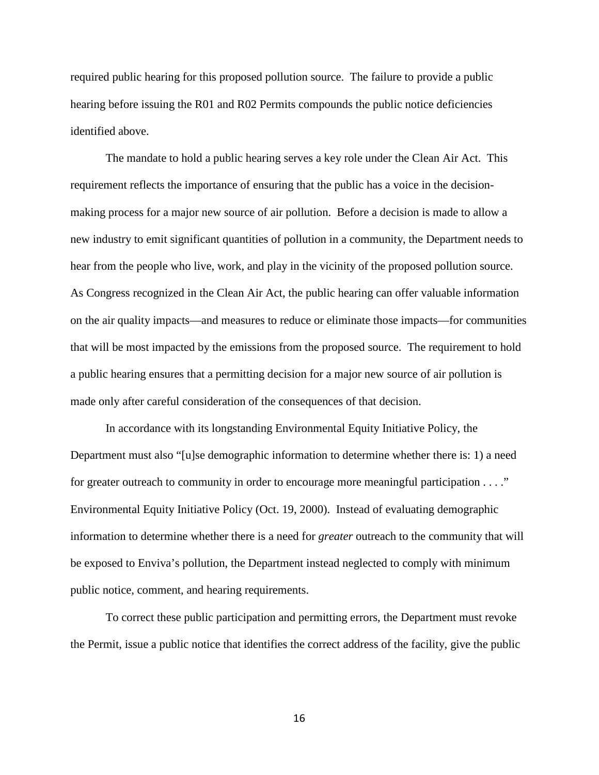required public hearing for this proposed pollution source. The failure to provide a public hearing before issuing the R01 and R02 Permits compounds the public notice deficiencies identified above.

The mandate to hold a public hearing serves a key role under the Clean Air Act. This requirement reflects the importance of ensuring that the public has a voice in the decisionmaking process for a major new source of air pollution. Before a decision is made to allow a new industry to emit significant quantities of pollution in a community, the Department needs to hear from the people who live, work, and play in the vicinity of the proposed pollution source. As Congress recognized in the Clean Air Act, the public hearing can offer valuable information on the air quality impacts—and measures to reduce or eliminate those impacts—for communities that will be most impacted by the emissions from the proposed source. The requirement to hold a public hearing ensures that a permitting decision for a major new source of air pollution is made only after careful consideration of the consequences of that decision.

In accordance with its longstanding Environmental Equity Initiative Policy, the Department must also "[u]se demographic information to determine whether there is: 1) a need for greater outreach to community in order to encourage more meaningful participation . . . ." Environmental Equity Initiative Policy (Oct. 19, 2000). Instead of evaluating demographic information to determine whether there is a need for *greater* outreach to the community that will be exposed to Enviva's pollution, the Department instead neglected to comply with minimum public notice, comment, and hearing requirements.

To correct these public participation and permitting errors, the Department must revoke the Permit, issue a public notice that identifies the correct address of the facility, give the public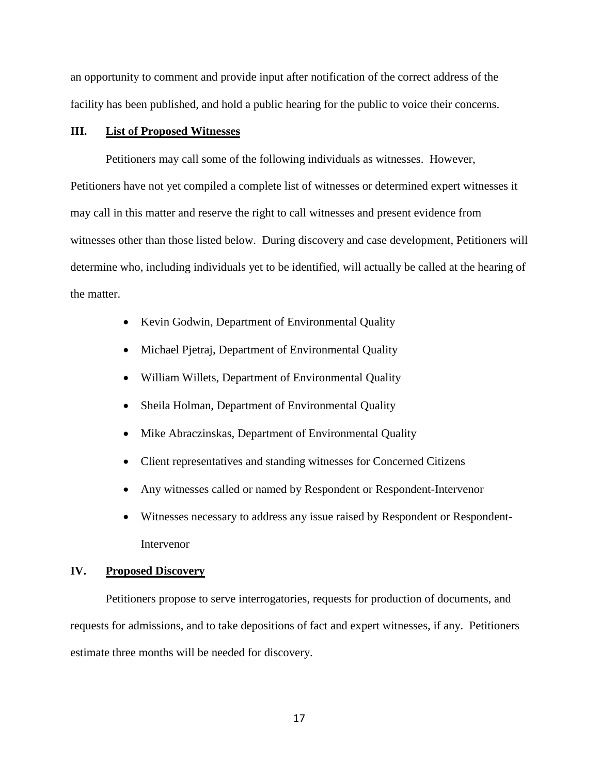an opportunity to comment and provide input after notification of the correct address of the facility has been published, and hold a public hearing for the public to voice their concerns.

#### **III. List of Proposed Witnesses**

Petitioners may call some of the following individuals as witnesses. However, Petitioners have not yet compiled a complete list of witnesses or determined expert witnesses it may call in this matter and reserve the right to call witnesses and present evidence from witnesses other than those listed below. During discovery and case development, Petitioners will determine who, including individuals yet to be identified, will actually be called at the hearing of the matter.

- Kevin Godwin, Department of Environmental Quality
- Michael Pjetraj, Department of Environmental Quality
- William Willets, Department of Environmental Quality
- Sheila Holman, Department of Environmental Quality
- Mike Abraczinskas, Department of Environmental Quality
- Client representatives and standing witnesses for Concerned Citizens
- Any witnesses called or named by Respondent or Respondent-Intervenor
- Witnesses necessary to address any issue raised by Respondent or Respondent-Intervenor

#### **IV. Proposed Discovery**

Petitioners propose to serve interrogatories, requests for production of documents, and requests for admissions, and to take depositions of fact and expert witnesses, if any. Petitioners estimate three months will be needed for discovery.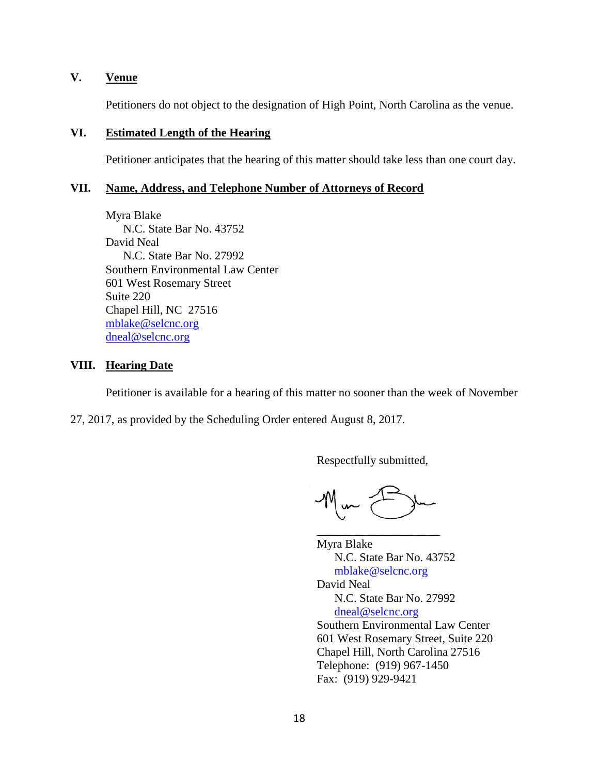# **V. Venue**

Petitioners do not object to the designation of High Point, North Carolina as the venue.

## **VI. Estimated Length of the Hearing**

Petitioner anticipates that the hearing of this matter should take less than one court day.

#### **VII. Name, Address, and Telephone Number of Attorneys of Record**

Myra Blake N.C. State Bar No. 43752 David Neal N.C. State Bar No. 27992 Southern Environmental Law Center 601 West Rosemary Street Suite 220 Chapel Hill, NC 27516 [mblake@selcnc.org](mailto:mblake@selcnc.org) [dneal@selcnc.org](mailto:dneal@selcnc.org)

## **VIII. Hearing Date**

Petitioner is available for a hearing of this matter no sooner than the week of November

27, 2017, as provided by the Scheduling Order entered August 8, 2017.

Respectfully submitted,

\_\_\_\_\_\_\_\_\_\_\_\_\_\_\_\_\_\_\_\_\_

Myra Blake N.C. State Bar No. 43752 mblake@selcnc.org David Neal N.C. State Bar No. 27992 [dneal@selcnc.org](mailto:dneal@selcnc.org) Southern Environmental Law Center 601 West Rosemary Street, Suite 220 Chapel Hill, North Carolina 27516 Telephone: (919) 967-1450 Fax: (919) 929-9421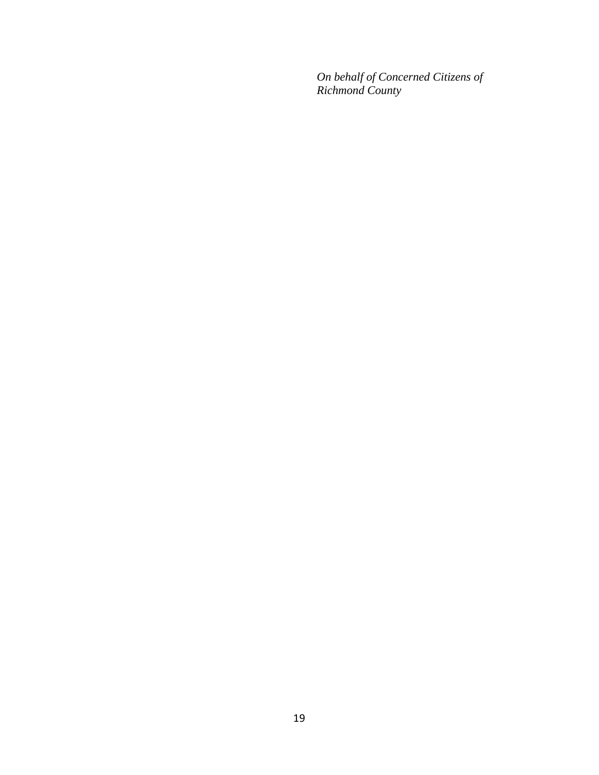*On behalf of Concerned Citizens of Richmond County*